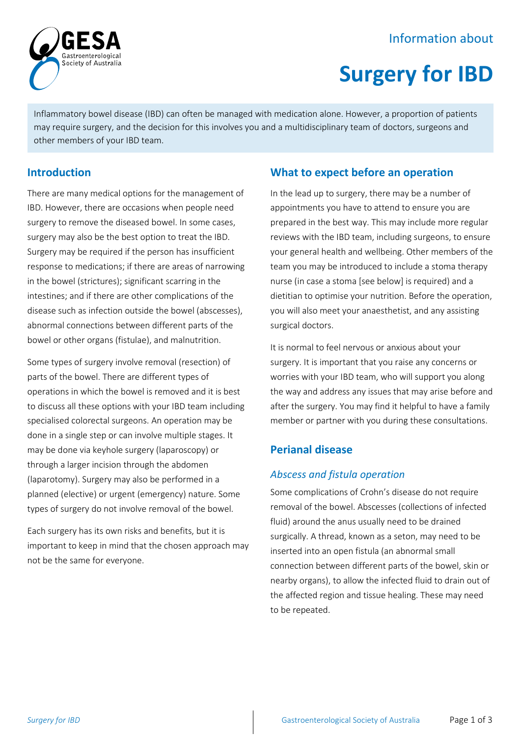## Information about



# **Surgery for IBD**

Inflammatory bowel disease (IBD) can often be managed with medication alone. However, a proportion of patients may require surgery, and the decision for this involves you and a multidisciplinary team of doctors, surgeons and other members of your IBD team.

## **Introduction**

There are many medical options for the management of IBD. However, there are occasions when people need surgery to remove the diseased bowel. In some cases, surgery may also be the best option to treat the IBD. Surgery may be required if the person has insufficient response to medications; if there are areas of narrowing in the bowel (strictures); significant scarring in the intestines; and if there are other complications of the disease such as infection outside the bowel (abscesses), abnormal connections between different parts of the bowel or other organs (fistulae), and malnutrition.

Some types of surgery involve removal (resection) of parts of the bowel. There are different types of operations in which the bowel is removed and it is best to discuss all these options with your IBD team including specialised colorectal surgeons. An operation may be done in a single step or can involve multiple stages. It may be done via keyhole surgery (laparoscopy) or through a larger incision through the abdomen (laparotomy). Surgery may also be performed in a planned (elective) or urgent (emergency) nature. Some types of surgery do not involve removal of the bowel.

Each surgery has its own risks and benefits, but it is important to keep in mind that the chosen approach may not be the same for everyone.

## **What to expect before an operation**

In the lead up to surgery, there may be a number of appointments you have to attend to ensure you are prepared in the best way. This may include more regular reviews with the IBD team, including surgeons, to ensure your general health and wellbeing. Other members of the team you may be introduced to include a stoma therapy nurse (in case a stoma [see below] is required) and a dietitian to optimise your nutrition. Before the operation, you will also meet your anaesthetist, and any assisting surgical doctors.

It is normal to feel nervous or anxious about your surgery. It is important that you raise any concerns or worries with your IBD team, who will support you along the way and address any issues that may arise before and after the surgery. You may find it helpful to have a family member or partner with you during these consultations.

## **Perianal disease**

## *Abscess and fistula operation*

Some complications of Crohn's disease do not require removal of the bowel. Abscesses (collections of infected fluid) around the anus usually need to be drained surgically. A thread, known as a seton, may need to be inserted into an open fistula (an abnormal small connection between different parts of the bowel, skin or nearby organs), to allow the infected fluid to drain out of the affected region and tissue healing. These may need to be repeated.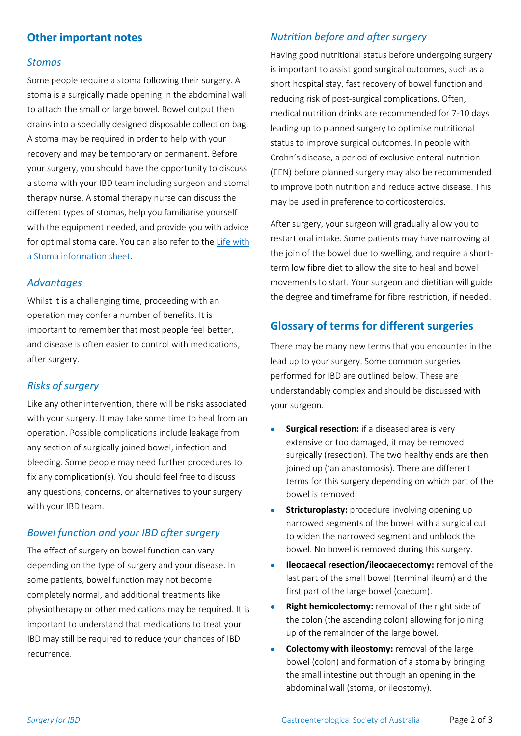### **Other important notes**

#### *Stomas*

Some people require a stoma following their surgery. A stoma is a surgically made opening in the abdominal wall to attach the small or large bowel. Bowel output then drains into a specially designed disposable collection bag. A stoma may be required in order to help with your recovery and may be temporary or permanent. Before your surgery, you should have the opportunity to discuss a stoma with your IBD team including surgeon and stomal therapy nurse. A stomal therapy nurse can discuss the different types of stomas, help you familiarise yourself with the equipment needed, and provide you with advice for optimal stoma care. You can also refer to the [Life with](https://www.gesa.org.au/education/patient-resources/)  [a Stoma information sheet.](https://www.gesa.org.au/education/patient-resources/)

#### *Advantages*

Whilst it is a challenging time, proceeding with an operation may confer a number of benefits. It is important to remember that most people feel better, and disease is often easier to control with medications, after surgery.

#### *Risks of surgery*

Like any other intervention, there will be risks associated with your surgery. It may take some time to heal from an operation. Possible complications include leakage from any section of surgically joined bowel, infection and bleeding. Some people may need further procedures to fix any complication(s). You should feel free to discuss any questions, concerns, or alternatives to your surgery with your IBD team.

#### *Bowel function and your IBD after surgery*

The effect of surgery on bowel function can vary depending on the type of surgery and your disease. In some patients, bowel function may not become completely normal, and additional treatments like physiotherapy or other medications may be required. It is important to understand that medications to treat your IBD may still be required to reduce your chances of IBD recurrence.

#### *Nutrition before and after surgery*

Having good nutritional status before undergoing surgery is important to assist good surgical outcomes, such as a short hospital stay, fast recovery of bowel function and reducing risk of post-surgical complications. Often, medical nutrition drinks are recommended for 7-10 days leading up to planned surgery to optimise nutritional status to improve surgical outcomes. In people with Crohn's disease, a period of exclusive enteral nutrition (EEN) before planned surgery may also be recommended to improve both nutrition and reduce active disease. This may be used in preference to corticosteroids.

After surgery, your surgeon will gradually allow you to restart oral intake. Some patients may have narrowing at the join of the bowel due to swelling, and require a shortterm low fibre diet to allow the site to heal and bowel movements to start. Your surgeon and dietitian will guide the degree and timeframe for fibre restriction, if needed.

#### **Glossary of terms for different surgeries**

There may be many new terms that you encounter in the lead up to your surgery. Some common surgeries performed for IBD are outlined below. These are understandably complex and should be discussed with your surgeon.

- **Surgical resection:** if a diseased area is very extensive or too damaged, it may be removed surgically (resection). The two healthy ends are then joined up ('an anastomosis). There are different terms for this surgery depending on which part of the bowel is removed.
- **Stricturoplasty:** procedure involving opening up narrowed segments of the bowel with a surgical cut to widen the narrowed segment and unblock the bowel. No bowel is removed during this surgery.
- **Ileocaecal resection/ileocaecectomy:** removal of the last part of the small bowel (terminal ileum) and the first part of the large bowel (caecum).
- **Right hemicolectomy:** removal of the right side of the colon (the ascending colon) allowing for joining up of the remainder of the large bowel.
- **Colectomy with ileostomy:** removal of the large bowel (colon) and formation of a stoma by bringing the small intestine out through an opening in the abdominal wall (stoma, or ileostomy).